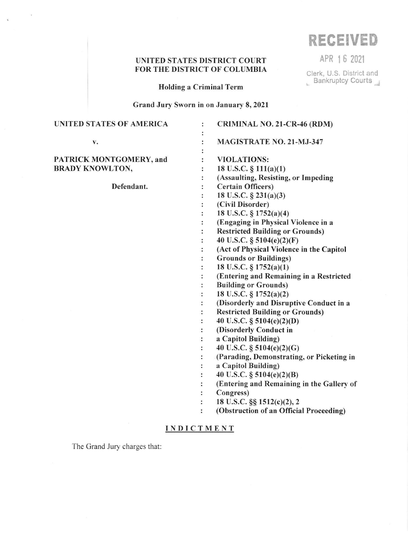RECEIVED

APR 16 2O2I

clerk, U.S. District and Bankruptcy Courts \_

## UNITED STATES DISTRICT COURT FOR THE DISTRICT OF COLUMBIA

Holding a Criminal Term

Grand Jury Sworn in on January 8, 2021

| UNITED STATES OF AMERICA | CRIMINAL NO. 21-CR-46 (RDM)                                 |
|--------------------------|-------------------------------------------------------------|
|                          |                                                             |
| v.                       | <b>MAGISTRATE NO. 21-MJ-347</b><br>$\colon$                 |
|                          |                                                             |
| PATRICK MONTGOMERY, and  | <b>VIOLATIONS:</b>                                          |
| <b>BRADY KNOWLTON,</b>   | 18 U.S.C. $\S$ 111(a)(1)                                    |
|                          | (Assaulting, Resisting, or Impeding                         |
| Defendant.               | <b>Certain Officers)</b><br>$\ddot{\cdot}$                  |
|                          | 18 U.S.C. § 231(a)(3)<br>$\ddot{\cdot}$                     |
|                          | (Civil Disorder)                                            |
|                          | 18 U.S.C. § 1752(a)(4)<br>$\ddot{\phantom{a}}$              |
|                          | (Engaging in Physical Violence in a<br>÷                    |
|                          | <b>Restricted Building or Grounds)</b>                      |
|                          | 40 U.S.C. § 5104(e)(2)(F)                                   |
|                          | (Act of Physical Violence in the Capitol                    |
|                          | <b>Grounds or Buildings)</b>                                |
|                          | 18 U.S.C. § 1752(a)(1)                                      |
|                          | (Entering and Remaining in a Restricted                     |
|                          | <b>Building or Grounds)</b>                                 |
|                          | 18 U.S.C. § 1752(a)(2)                                      |
|                          | (Disorderly and Disruptive Conduct in a                     |
|                          | <b>Restricted Building or Grounds)</b><br>$\ddot{\cdot}$    |
|                          | 40 U.S.C. § 5104(e)(2)(D)<br>$\ddot{\cdot}$                 |
|                          | (Disorderly Conduct in                                      |
|                          | a Capitol Building)<br>$\ddot{\cdot}$                       |
|                          | 40 U.S.C. § 5104(e)(2)(G)                                   |
|                          | (Parading, Demonstrating, or Picketing in<br>$\ddot{\cdot}$ |
|                          | a Capitol Building)<br>$\ddot{\cdot}$                       |
|                          | 40 U.S.C. § 5104(e)(2)(B)<br>$\ddot{\cdot}$                 |
|                          | (Entering and Remaining in the Gallery of<br>:              |
|                          | Congress)<br>:                                              |
|                          | 18 U.S.C. §§ 1512(c)(2), 2<br>:                             |
|                          | (Obstruction of an Official Proceeding)<br>$\ddot{\cdot}$   |
|                          |                                                             |

# INDICTMENT

The Grand Jury charges that: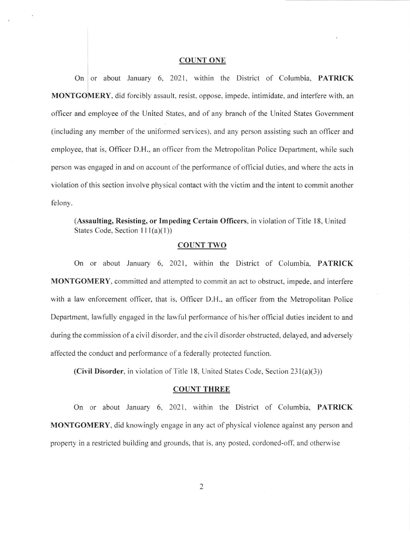## COUNT ONE

On or about January 6, 2021, within the District of Columbia, PATRICK MONTGOMERY, did forcibly assault, resist, oppose, impede. intimidate, and interfere with, an officer and employee of the United States, and of any branch of the United States Covernment (including any member of the uniformed services), and any person assisting such an officer and employee, that is, Officer D.H., an officer from the Metropolitan Police Department, while such person was engaged in and on account of the performance of official duties, and where the acts in violation of this section involve physical contact with the victim and the intent to commit another felony.

(Assaulting, Resisting, or Impeding Certain Officers, in violation of Title 18, United States Code, Section  $111(a)(1)$ )

#### COUNT TWO

On or about January 6, 2021, within the District of Columbia, PATRICK MONTGOMERY, committed and attempted to commit an act to obstruct, impede, and interfere with a law enforcement officer, that is, Officer D.H.. an officer from the Metropolitan Police Department, lawfully engaged in the lawful performance of his/her official duties incident to and during the commission of a civil disorder, and the civil disorder obstructed, delayed, and adversely affected the conduct and performance of a federally protected function.

(Civil Disorder, in violation of Title 18, United States Code, Section  $231(a)(3)$ )

### COUNT THREE

On or about January 6, 2021, within the District of Columbia, PATRICK MONTGOMERY, did knowingly engage in any act of physical violence against any person and property in a restricted building and grounds, that is, any posted. cordoned-off, and otherwise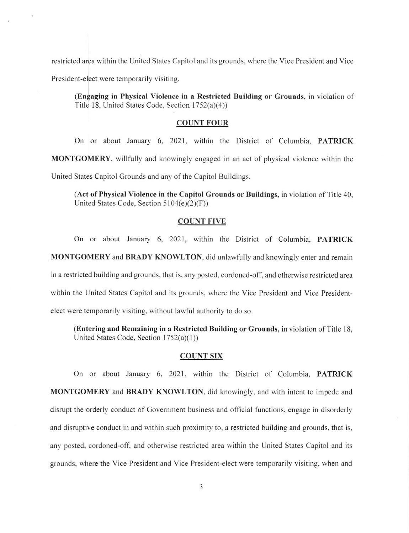restricted area within the United States Capitol and its grounds. where the Vice President and Vice President-elect were temporarily visiting.

(Engaging in Physical Violence in a Restricted Building or Grounds, in violation of Title 18, United States Code, Section 1752(a)(4))

#### COUNT FOUR

On or about January 6, 2021, within the District of Columbia, PATRICK MONTGOMERY, willfully and knowingly engaged in an act of physical violence within the United States Capitol Grounds and any of the Capitol Buildings.

(Act of Physical Violence in the Capitol Grounds or Buildings, in violation of Title 40, United States Code, Section  $5104(e)(2)(F)$ )

## **COUNT FIVE**

On or about January 6, 2021, within the District of Columbia, PATRICK

MONTGOMERY and BRADY KNOWLTON, did unlawfully and knowingly enter and remain in a restricted building and grounds. that is, any posted, cordoned-off, and otherwise restricted area within the United States Capitol and its grounds, where the Vice President and Vice President-

elect were temporarily visiting, without lawful authority to do so.

(Entering and Remaining in a Restricted Building or Grounds, in violation of Title 18, United States Code, Section  $1752(a)(1)$ 

#### COUNT SIX

On or about January 6, 2021, within the District of Columbia, PATRICK MONTGOMERY and BRADY KNOWLTON, did knowingly, and with intent to impede and disrupt the orderly conduct of Govemment business and official functions, engage in disorderly and disruptive conduct in and within such proximity to, a restricted building and grounds, that is, any posted, cordoned-off, and otherwise restricted area within the United States Capitol and its grounds, where the Vice President and Vice President-elect were temporarily visiting, when and